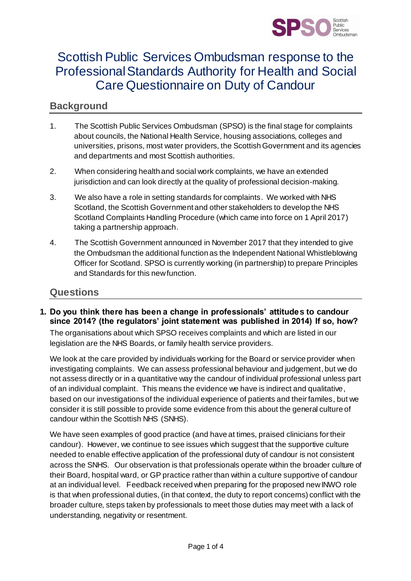

# Scottish Public Services Ombudsman response to the Professional Standards Authority for Health and Social Care Questionnaire on Duty of Candour

# **Background**

- 1. The Scottish Public Services Ombudsman (SPSO) is the final stage for complaints about councils, the National Health Service, housing associations, colleges and universities, prisons, most water providers, the Scottish Government and its agencies and departments and most Scottish authorities.
- 2. When considering health and social work complaints, we have an extended jurisdiction and can look directly at the quality of professional decision-making.
- 3. We also have a role in setting standards for complaints. We worked with NHS Scotland, the Scottish Government and other stakeholders to develop the NHS Scotland Complaints Handling Procedure (which came into force on 1 April 2017) taking a partnership approach.
- 4. The Scottish Government announced in November 2017 that they intended to give the Ombudsman the additional function as the Independent National Whistleblowing Officer for Scotland. SPSO is currently working (in partnership) to prepare Principles and Standards for this new function.

## **Questions**

#### **1. Do you think there has been a change in professionals' attitudes to candour since 2014? (the regulators' joint statement was published in 2014) If so, how?**

The organisations about which SPSO receives complaints and which are listed in our legislation are the NHS Boards, or family health service providers.

We look at the care provided by individuals working for the Board or service provider when investigating complaints. We can assess professional behaviour and judgement, but we do not assess directly or in a quantitative way the candour of individual professional unless part of an individual complaint. This means the evidence we have is indirect and qualitative, based on our investigations of the individual experience of patients and their familes, but we consider it is still possible to provide some evidence from this about the general culture of candour within the Scottish NHS (SNHS).

We have seen examples of good practice (and have at times, praised clinicians for their candour). However, we continue to see issues which suggest that the supportive culture needed to enable effective application of the professional duty of candour is not consistent across the SNHS. Our observation is that professionals operate within the broader culture of their Board, hospital ward, or GP practice rather than within a culture supportive of candour at an individual level. Feedback received when preparing for the proposed new INWO role is that when professional duties, (in that context, the duty to report concerns) conflict with the broader culture, steps taken by professionals to meet those duties may meet with a lack of understanding, negativity or resentment.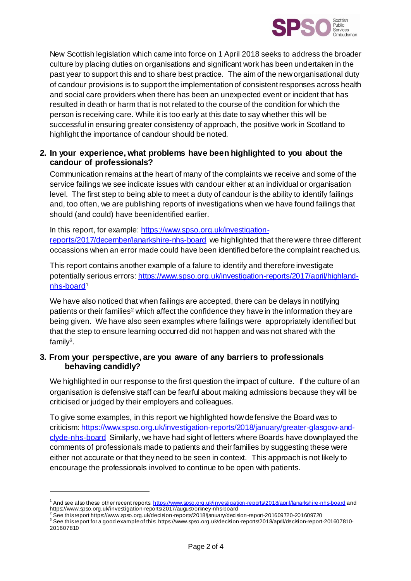

New Scottish legislation which came into force on 1 April 2018 seeks to address the broader culture by placing duties on organisations and significant work has been undertaken in the past year to support this and to share best practice. The aim of the new organisational duty of candour provisions is to support the implementation of consistent responses across health and social care providers when there has been an unexpected event or incident that has resulted in death or harm that is not related to the course of the condition for which the person is receiving care. While it is too early at this date to say whether this will be successful in ensuring greater consistency of approach, the positive work in Scotland to highlight the importance of candour should be noted.

#### **2. In your experience, what problems have been highlighted to you about the candour of professionals?**

Communication remains at the heart of many of the complaints we receive and some of the service failings we see indicate issues with candour either at an individual or organisation level. The first step to being able to meet a duty of candour is the ability to identify failings and, too often, we are publishing reports of investigations when we have found failings that should (and could) have been identified earlier.

#### In this report, for example[: https://www.spso.org.uk/investigation-](https://www.spso.org.uk/investigation-reports/2017/december/lanarkshire-nhs-board)

[reports/2017/december/lanarkshire-nhs-board](https://www.spso.org.uk/investigation-reports/2017/december/lanarkshire-nhs-board) we highlighted that there were three different occassions when an error made could have been identified before the complaint reached us.

This report contains another example of a falure to identify and therefore investigate potentially serious errors[: https://www.spso.org.uk/investigation-reports/2017/april/highland](https://www.spso.org.uk/investigation-reports/2017/april/highland-nhs-board)[nhs-board](https://www.spso.org.uk/investigation-reports/2017/april/highland-nhs-board)<sup>1</sup>

We have also noticed that when failings are accepted, there can be delays in notifying patients or their families<sup>2</sup> which affect the confidence they have in the information they are being given. We have also seen examples where failings were appropriately identified but that the step to ensure learning occurred did not happen and was not shared with the family<sup>3</sup> .

#### **3. From your perspective, are you aware of any barriers to professionals behaving candidly?**

We highlighted in our response to the first question the impact of culture. If the culture of an organisation is defensive staff can be fearful about making admissions because they will be criticised or judged by their employers and colleagues.

To give some examples, in this report we highlighted how defensive the Board was to criticism: [https://www.spso.org.uk/investigation-reports/2018/january/greater-glasgow-and](https://www.spso.org.uk/investigation-reports/2018/january/greater-glasgow-and-clyde-nhs-board)[clyde-nhs-board](https://www.spso.org.uk/investigation-reports/2018/january/greater-glasgow-and-clyde-nhs-board) Similarly, we have had sight of letters where Boards have downplayed the comments of professionals made to patients and their families by suggesting these were either not accurate or that they need to be seen in context. This approach is not likely to encourage the professionals involved to continue to be open with patients.

 $\overline{a}$ 

<sup>&</sup>lt;sup>1</sup> And see also these other recent reports[: https://www.spso.org.uk/investigation-reports/2018/april/lanarkshire-nhs-board](https://www.spso.org.uk/investigation-reports/2018/april/lanarkshire-nhs-board) and https://www.spso.org.uk/investigation-reports/2017/august/orkney-nhs-board

<sup>2</sup> See this report https://www.spso.org.uk/decision-reports/2018/january/decision-report-201609720-201609720

<sup>3</sup> See this report for a good example of this: https://www.spso.org.uk/decision-reports/2018/april/decision-report-201607810- 201607810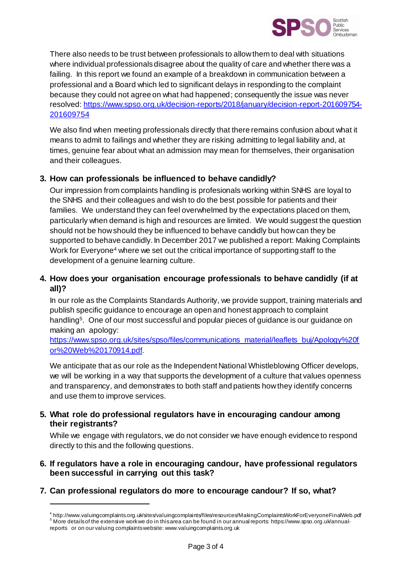

There also needs to be trust between professionals to allow them to deal with situations where individual professionals disagree about the quality of care and whether there was a failing. In this report we found an example of a breakdown in communication between a professional and a Board which led to significant delays in responding to the complaint because they could not agree on what had happened; consequently the issue was never resolved[: https://www.spso.org.uk/decision-reports/2018/january/decision-report-201609754-](https://www.spso.org.uk/decision-reports/2018/january/decision-report-201609754-201609754) [201609754](https://www.spso.org.uk/decision-reports/2018/january/decision-report-201609754-201609754)

We also find when meeting professionals directly that there remains confusion about what it means to admit to failings and whether they are risking admitting to legal liability and, at times, genuine fear about what an admission may mean for themselves, their organisation and their colleagues.

# **3. How can professionals be influenced to behave candidly?**

Our impression from complaints handling is profesionals working within SNHS are loyal to the SNHS and their colleagues and wish to do the best possible for patients and their families. We understand they can feel overwhelmed by the expectations placed on them, particularly when demand is high and resources are limited. We would suggest the question should not be how should they be influenced to behave candidly but how can they be supported to behave candidly. In December 2017 we published a report: Making Complaints Work for Everyone<sup>4</sup> where we set out the critical importance of supporting staff to the development of a genuine learning culture.

## **4. How does your organisation encourage professionals to behave candidly (if at all)?**

In our role as the Complaints Standards Authority, we provide support, training materials and publish specific guidance to encourage an open and honest approach to complaint handling<sup>5</sup>. One of our most successful and popular pieces of guidance is our guidance on making an apology:

[https://www.spso.org.uk/sites/spso/files/communications\\_material/leaflets\\_buj/Apology%20f](https://www.spso.org.uk/sites/spso/files/communications_material/leaflets_buj/Apology%20for%20Web%20170914.pdf) [or%20Web%20170914.pdf.](https://www.spso.org.uk/sites/spso/files/communications_material/leaflets_buj/Apology%20for%20Web%20170914.pdf)

We anticipate that as our role as the Independent National Whistleblowing Officer develops, we will be working in a way that supports the development of a culture that values openness and transparency, and demonstrates to both staff and patients how they identify concerns and use them to improve services.

#### **5. What role do professional regulators have in encouraging candour among their registrants?**

While we engage with regulators, we do not consider we have enough evidence to respond directly to this and the following questions.

#### **6. If regulators have a role in encouraging candour, have professional regulators been successful in carrying out this task?**

**7. Can professional regulators do more to encourage candour? If so, what?**

l

<sup>4</sup> http://www.valuingcomplaints.org.uk/sites/valuingcomplaints/files/resources/MakingComplaintsWorkForEveryoneFinalWeb.pdf <sup>5</sup> More details of the extensive work we do in this area can be found in our annual reports: https://www.spso.org.uk/annualreports or on our valuing complaints website: www.valuingcomplaints.org.uk